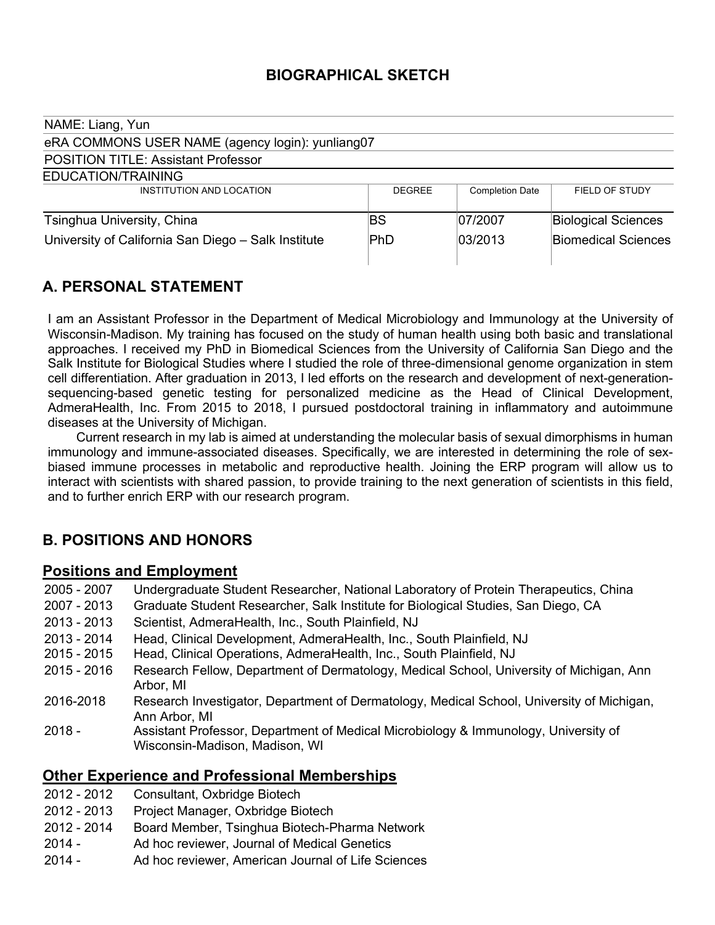## **BIOGRAPHICAL SKETCH**

| NAME: Liang, Yun                                    |                |                        |                            |
|-----------------------------------------------------|----------------|------------------------|----------------------------|
| eRA COMMONS USER NAME (agency login): yunliang07    |                |                        |                            |
| <b>POSITION TITLE: Assistant Professor</b>          |                |                        |                            |
| EDUCATION/TRAINING                                  |                |                        |                            |
| INSTITUTION AND LOCATION                            | <b>DEGREE</b>  | <b>Completion Date</b> | FIELD OF STUDY             |
| Tsinghua University, China                          | BS             | 07/2007                | <b>Biological Sciences</b> |
| University of California San Diego - Salk Institute | $\mathsf{PhD}$ | 03/2013                | <b>Biomedical Sciences</b> |

# **A. PERSONAL STATEMENT**

I am an Assistant Professor in the Department of Medical Microbiology and Immunology at the University of Wisconsin-Madison. My training has focused on the study of human health using both basic and translational approaches. I received my PhD in Biomedical Sciences from the University of California San Diego and the Salk Institute for Biological Studies where I studied the role of three-dimensional genome organization in stem cell differentiation. After graduation in 2013, I led efforts on the research and development of next-generationsequencing-based genetic testing for personalized medicine as the Head of Clinical Development, AdmeraHealth, Inc. From 2015 to 2018, I pursued postdoctoral training in inflammatory and autoimmune diseases at the University of Michigan.

 Current research in my lab is aimed at understanding the molecular basis of sexual dimorphisms in human immunology and immune-associated diseases. Specifically, we are interested in determining the role of sexbiased immune processes in metabolic and reproductive health. Joining the ERP program will allow us to interact with scientists with shared passion, to provide training to the next generation of scientists in this field, and to further enrich ERP with our research program.

## **B. POSITIONS AND HONORS**

### **Positions and Employment**

| 2005 - 2007   | Undergraduate Student Researcher, National Laboratory of Protein Therapeutics, China                                  |
|---------------|-----------------------------------------------------------------------------------------------------------------------|
| 2007 - 2013   | Graduate Student Researcher, Salk Institute for Biological Studies, San Diego, CA                                     |
| $2013 - 2013$ | Scientist, AdmeraHealth, Inc., South Plainfield, NJ                                                                   |
| 2013 - 2014   | Head, Clinical Development, AdmeraHealth, Inc., South Plainfield, NJ                                                  |
| 2015 - 2015   | Head, Clinical Operations, AdmeraHealth, Inc., South Plainfield, NJ                                                   |
| $2015 - 2016$ | Research Fellow, Department of Dermatology, Medical School, University of Michigan, Ann<br>Arbor, MI                  |
| 2016-2018     | Research Investigator, Department of Dermatology, Medical School, University of Michigan,<br>Ann Arbor, MI            |
| $2018 -$      | Assistant Professor, Department of Medical Microbiology & Immunology, University of<br>Wisconsin-Madison, Madison, WI |
|               |                                                                                                                       |

### **Other Experience and Professional Memberships**

- 2012 2012 Consultant, Oxbridge Biotech
- 2012 2013 Project Manager, Oxbridge Biotech
- 2012 2014 Board Member, Tsinghua Biotech-Pharma Network
- 2014 Ad hoc reviewer, Journal of Medical Genetics
- 2014 Ad hoc reviewer, American Journal of Life Sciences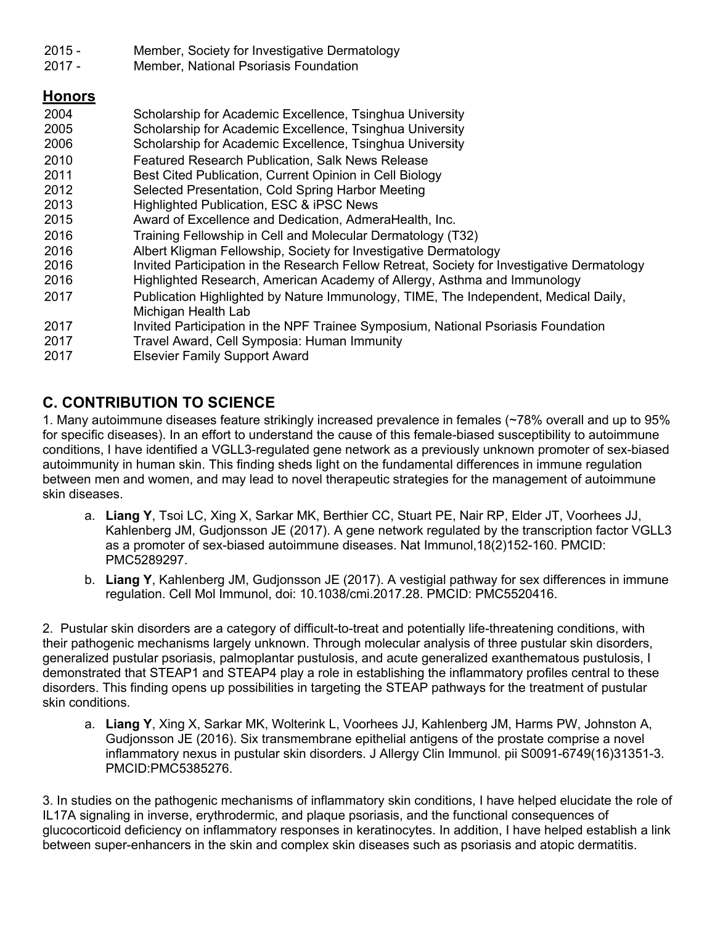- 2015 Member, Society for Investigative Dermatology
- 2017 Member, National Psoriasis Foundation

### **Honors**

| Scholarship for Academic Excellence, Tsinghua University                                    |
|---------------------------------------------------------------------------------------------|
| Scholarship for Academic Excellence, Tsinghua University                                    |
| Scholarship for Academic Excellence, Tsinghua University                                    |
| <b>Featured Research Publication, Salk News Release</b>                                     |
| Best Cited Publication, Current Opinion in Cell Biology                                     |
| Selected Presentation, Cold Spring Harbor Meeting                                           |
| Highlighted Publication, ESC & iPSC News                                                    |
| Award of Excellence and Dedication, AdmeraHealth, Inc.                                      |
| Training Fellowship in Cell and Molecular Dermatology (T32)                                 |
| Albert Kligman Fellowship, Society for Investigative Dermatology                            |
| Invited Participation in the Research Fellow Retreat, Society for Investigative Dermatology |
| Highlighted Research, American Academy of Allergy, Asthma and Immunology                    |
| Publication Highlighted by Nature Immunology, TIME, The Independent, Medical Daily,         |
| Michigan Health Lab                                                                         |
| Invited Participation in the NPF Trainee Symposium, National Psoriasis Foundation           |
| Travel Award, Cell Symposia: Human Immunity                                                 |
| <b>Elsevier Family Support Award</b>                                                        |
|                                                                                             |

# **C. CONTRIBUTION TO SCIENCE**

1. Many autoimmune diseases feature strikingly increased prevalence in females (~78% overall and up to 95% for specific diseases). In an effort to understand the cause of this female-biased susceptibility to autoimmune conditions, I have identified a VGLL3-regulated gene network as a previously unknown promoter of sex-biased autoimmunity in human skin. This finding sheds light on the fundamental differences in immune regulation between men and women, and may lead to novel therapeutic strategies for the management of autoimmune skin diseases.

- a. **Liang Y**, Tsoi LC, Xing X, Sarkar MK, Berthier CC, Stuart PE, Nair RP, Elder JT, Voorhees JJ, Kahlenberg JM, Gudjonsson JE (2017). A gene network regulated by the transcription factor VGLL3 as a promoter of sex-biased autoimmune diseases. Nat Immunol,18(2)152-160. PMCID: PMC5289297.
- b. **Liang Y**, Kahlenberg JM, Gudjonsson JE (2017). A vestigial pathway for sex differences in immune regulation. Cell Mol Immunol, doi: 10.1038/cmi.2017.28. PMCID: PMC5520416.

2. Pustular skin disorders are a category of difficult-to-treat and potentially life-threatening conditions, with their pathogenic mechanisms largely unknown. Through molecular analysis of three pustular skin disorders, generalized pustular psoriasis, palmoplantar pustulosis, and acute generalized exanthematous pustulosis, I demonstrated that STEAP1 and STEAP4 play a role in establishing the inflammatory profiles central to these disorders. This finding opens up possibilities in targeting the STEAP pathways for the treatment of pustular skin conditions.

a. **Liang Y**, Xing X, Sarkar MK, Wolterink L, Voorhees JJ, Kahlenberg JM, Harms PW, Johnston A, Gudjonsson JE (2016). Six transmembrane epithelial antigens of the prostate comprise a novel inflammatory nexus in pustular skin disorders. J Allergy Clin Immunol. pii S0091-6749(16)31351-3. PMCID:PMC5385276.

3. In studies on the pathogenic mechanisms of inflammatory skin conditions, I have helped elucidate the role of IL17A signaling in inverse, erythrodermic, and plaque psoriasis, and the functional consequences of glucocorticoid deficiency on inflammatory responses in keratinocytes. In addition, I have helped establish a link between super-enhancers in the skin and complex skin diseases such as psoriasis and atopic dermatitis.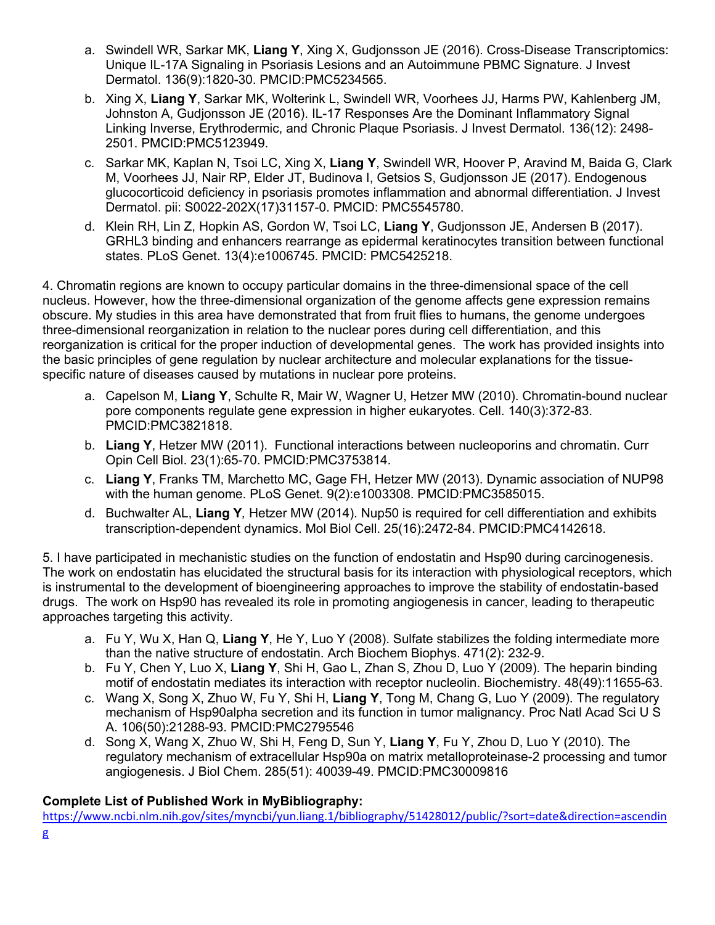- a. Swindell WR, Sarkar MK, **Liang Y**, Xing X, Gudjonsson JE (2016). Cross-Disease Transcriptomics: Unique IL-17A Signaling in Psoriasis Lesions and an Autoimmune PBMC Signature. J Invest Dermatol. 136(9):1820-30. PMCID:PMC5234565.
- b. Xing X, **Liang Y**, Sarkar MK, Wolterink L, Swindell WR, Voorhees JJ, Harms PW, Kahlenberg JM, Johnston A, Gudjonsson JE (2016). IL-17 Responses Are the Dominant Inflammatory Signal Linking Inverse, Erythrodermic, and Chronic Plaque Psoriasis. J Invest Dermatol. 136(12): 2498- 2501. PMCID:PMC5123949.
- c. Sarkar MK, Kaplan N, Tsoi LC, Xing X, **Liang Y**, Swindell WR, Hoover P, Aravind M, Baida G, Clark M, Voorhees JJ, Nair RP, Elder JT, Budinova I, Getsios S, Gudjonsson JE (2017). Endogenous glucocorticoid deficiency in psoriasis promotes inflammation and abnormal differentiation. J Invest Dermatol. pii: S0022-202X(17)31157-0. PMCID: PMC5545780.
- d. Klein RH, Lin Z, Hopkin AS, Gordon W, Tsoi LC, **Liang Y**, Gudjonsson JE, Andersen B (2017). GRHL3 binding and enhancers rearrange as epidermal keratinocytes transition between functional states. PLoS Genet. 13(4):e1006745. PMCID: PMC5425218.

4. Chromatin regions are known to occupy particular domains in the three-dimensional space of the cell nucleus. However, how the three-dimensional organization of the genome affects gene expression remains obscure. My studies in this area have demonstrated that from fruit flies to humans, the genome undergoes three-dimensional reorganization in relation to the nuclear pores during cell differentiation, and this reorganization is critical for the proper induction of developmental genes. The work has provided insights into the basic principles of gene regulation by nuclear architecture and molecular explanations for the tissuespecific nature of diseases caused by mutations in nuclear pore proteins.

- a. Capelson M, **Liang Y**, Schulte R, Mair W, Wagner U, Hetzer MW (2010). Chromatin-bound nuclear pore components regulate gene expression in higher eukaryotes. Cell. 140(3):372-83. PMCID:PMC3821818.
- b. **Liang Y**, Hetzer MW (2011). Functional interactions between nucleoporins and chromatin. Curr Opin Cell Biol. 23(1):65-70. PMCID:PMC3753814.
- c. **Liang Y**, Franks TM, Marchetto MC, Gage FH, Hetzer MW (2013). Dynamic association of NUP98 with the human genome. PLoS Genet*.* 9(2):e1003308. PMCID:PMC3585015.
- d. Buchwalter AL, **Liang Y***,* Hetzer MW (2014). Nup50 is required for cell differentiation and exhibits transcription-dependent dynamics. Mol Biol Cell. 25(16):2472-84. PMCID:PMC4142618.

5. I have participated in mechanistic studies on the function of endostatin and Hsp90 during carcinogenesis. The work on endostatin has elucidated the structural basis for its interaction with physiological receptors, which is instrumental to the development of bioengineering approaches to improve the stability of endostatin-based drugs. The work on Hsp90 has revealed its role in promoting angiogenesis in cancer, leading to therapeutic approaches targeting this activity.

- a. Fu Y, Wu X, Han Q, **Liang Y**, He Y, Luo Y (2008). Sulfate stabilizes the folding intermediate more than the native structure of endostatin. Arch Biochem Biophys. 471(2): 232-9.
- b. Fu Y, Chen Y, Luo X, **Liang Y**, Shi H, Gao L, Zhan S, Zhou D, Luo Y (2009). The heparin binding motif of endostatin mediates its interaction with receptor nucleolin. Biochemistry. 48(49):11655-63.
- c. Wang X, Song X, Zhuo W, Fu Y, Shi H, **Liang Y**, Tong M, Chang G, Luo Y (2009). The regulatory mechanism of Hsp90alpha secretion and its function in tumor malignancy. Proc Natl Acad Sci U S A. 106(50):21288-93. PMCID:PMC2795546
- d. Song X, Wang X, Zhuo W, Shi H, Feng D, Sun Y, **Liang Y**, Fu Y, Zhou D, Luo Y (2010). The regulatory mechanism of extracellular Hsp90a on matrix metalloproteinase-2 processing and tumor angiogenesis. J Biol Chem. 285(51): 40039-49. PMCID:PMC30009816

### **Complete List of Published Work in MyBibliography:**

https://www.ncbi.nlm.nih.gov/sites/myncbi/yun.liang.1/bibliography/51428012/public/?sort=date&direction=ascendin